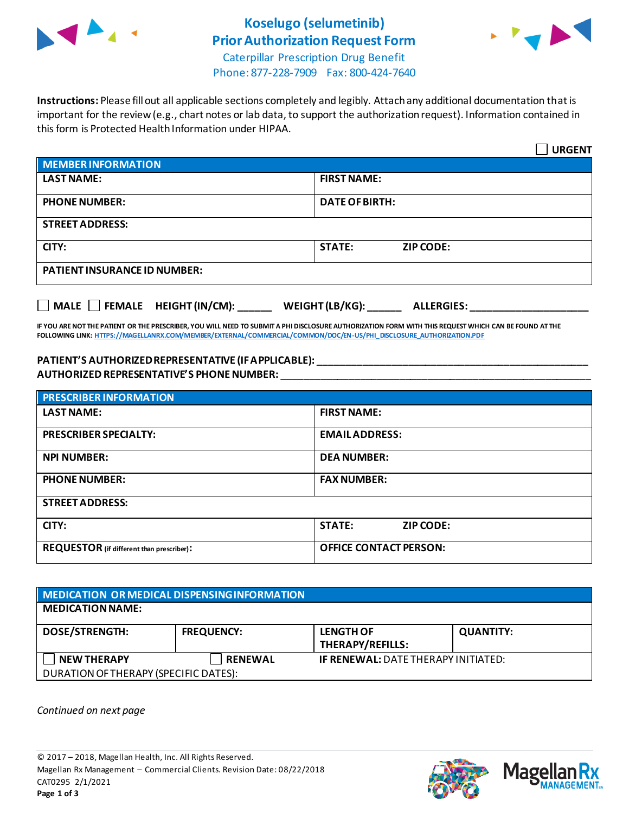

## **Koselugo (selumetinib) Prior Authorization Request Form**



Caterpillar Prescription Drug Benefit Phone: 877-228-7909 Fax: 800-424-7640

**Instructions:** Please fill out all applicable sections completely and legibly. Attach any additional documentation that is important for the review (e.g., chart notes or lab data, to support the authorization request). Information contained in this form is Protected Health Information under HIPAA.

|                                           | <b>URGENT</b>                        |  |
|-------------------------------------------|--------------------------------------|--|
| <b>MEMBER INFORMATION</b>                 |                                      |  |
| <b>LAST NAME:</b>                         | <b>FIRST NAME:</b>                   |  |
| <b>PHONE NUMBER:</b>                      | <b>DATE OF BIRTH:</b>                |  |
| <b>STREET ADDRESS:</b>                    |                                      |  |
| CITY:                                     | <b>STATE:</b><br><b>ZIP CODE:</b>    |  |
| <b>PATIENT INSURANCE ID NUMBER:</b>       |                                      |  |
| $\Box$ MALE $\Box$ FEMALE HEIGHT (IN/CM): | WEIGHT (LB/KG):<br><b>ALLERGIES:</b> |  |

**IF YOU ARE NOT THE PATIENT OR THE PRESCRIBER, YOU WILL NEED TO SUBMIT A PHI DISCLOSURE AUTHORIZATION FORM WITH THIS REQUEST WHICH CAN BE FOUND AT THE FOLLOWING LINK[: HTTPS://MAGELLANRX.COM/MEMBER/EXTERNAL/COMMERCIAL/COMMON/DOC/EN-US/PHI\\_DISCLOSURE\\_AUTHORIZATION.PDF](https://magellanrx.com/member/external/commercial/common/doc/en-us/PHI_Disclosure_Authorization.pdf)**

## **PATIENT'S AUTHORIZED REPRESENTATIVE (IF APPLICABLE): \_\_\_\_\_\_\_\_\_\_\_\_\_\_\_\_\_\_\_\_\_\_\_\_\_\_\_\_\_\_\_\_\_\_\_\_\_\_\_\_\_\_\_\_\_\_\_\_ AUTHORIZED REPRESENTATIVE'S PHONE NUMBER:** \_\_\_\_\_\_\_\_\_\_\_\_\_\_\_\_\_\_\_\_\_\_\_\_\_\_\_\_\_\_\_\_\_\_\_\_\_\_\_\_\_\_\_\_\_\_\_\_\_\_\_\_\_\_\_

| <b>PRESCRIBER INFORMATION</b>             |                               |  |
|-------------------------------------------|-------------------------------|--|
| <b>LAST NAME:</b>                         | <b>FIRST NAME:</b>            |  |
| <b>PRESCRIBER SPECIALTY:</b>              | <b>EMAIL ADDRESS:</b>         |  |
| <b>NPI NUMBER:</b>                        | <b>DEA NUMBER:</b>            |  |
| <b>PHONE NUMBER:</b>                      | <b>FAX NUMBER:</b>            |  |
| <b>STREET ADDRESS:</b>                    |                               |  |
| CITY:                                     | <b>STATE:</b><br>ZIP CODE:    |  |
| REQUESTOR (if different than prescriber): | <b>OFFICE CONTACT PERSON:</b> |  |

| MEDICATION OR MEDICAL DISPENSING INFORMATION |                   |                                            |                  |  |  |
|----------------------------------------------|-------------------|--------------------------------------------|------------------|--|--|
| <b>MEDICATION NAME:</b>                      |                   |                                            |                  |  |  |
| <b>DOSE/STRENGTH:</b>                        | <b>FREQUENCY:</b> | <b>LENGTH OF</b><br>THERAPY/REFILLS:       | <b>QUANTITY:</b> |  |  |
| <b>NEW THERAPY</b>                           | <b>RENEWAL</b>    | <b>IF RENEWAL: DATE THERAPY INITIATED:</b> |                  |  |  |
| DURATION OF THERAPY (SPECIFIC DATES):        |                   |                                            |                  |  |  |

*Continued on next page*



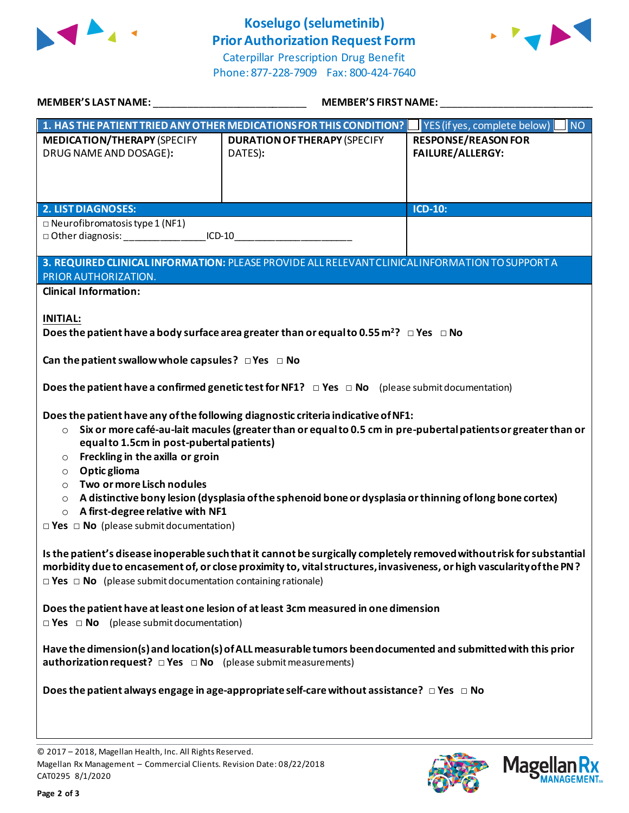

**Koselugo (selumetinib) Prior Authorization Request Form**



Caterpillar Prescription Drug Benefit Phone: 877-228-7909 Fax: 800-424-7640

| MEMBER'S LAST NAME: ______________________________                                                                                                                                                                                                                                                                                                                                                                                                                                                                                                                                                | <b>MEMBER'S FIRST NAME:</b>                                                                                |                                                       |  |  |
|---------------------------------------------------------------------------------------------------------------------------------------------------------------------------------------------------------------------------------------------------------------------------------------------------------------------------------------------------------------------------------------------------------------------------------------------------------------------------------------------------------------------------------------------------------------------------------------------------|------------------------------------------------------------------------------------------------------------|-------------------------------------------------------|--|--|
|                                                                                                                                                                                                                                                                                                                                                                                                                                                                                                                                                                                                   | 1. HAS THE PATIENT TRIED ANY OTHER MEDICATIONS FOR THIS CONDITION?                                         | <b>NO</b><br>VES (if yes, complete below) [           |  |  |
| <b>MEDICATION/THERAPY (SPECIFY</b><br>DRUG NAME AND DOSAGE):                                                                                                                                                                                                                                                                                                                                                                                                                                                                                                                                      | <b>DURATION OF THERAPY (SPECIFY</b><br>DATES):                                                             | <b>RESPONSE/REASON FOR</b><br><b>FAILURE/ALLERGY:</b> |  |  |
| <b>2. LIST DIAGNOSES:</b>                                                                                                                                                                                                                                                                                                                                                                                                                                                                                                                                                                         |                                                                                                            | <b>ICD-10:</b>                                        |  |  |
| $\Box$ Neurofibromatosis type 1 (NF1)<br>□ Other diagnosis: _________________________ICD-10_____________________________                                                                                                                                                                                                                                                                                                                                                                                                                                                                          |                                                                                                            |                                                       |  |  |
| 3. REQUIRED CLINICAL INFORMATION: PLEASE PROVIDE ALL RELEVANT CLINICAL INFORMATION TO SUPPORT A<br>PRIOR AUTHORIZATION.                                                                                                                                                                                                                                                                                                                                                                                                                                                                           |                                                                                                            |                                                       |  |  |
| <b>Clinical Information:</b>                                                                                                                                                                                                                                                                                                                                                                                                                                                                                                                                                                      |                                                                                                            |                                                       |  |  |
| <b>INITIAL:</b><br>Does the patient have a body surface area greater than or equal to 0.55 m <sup>2</sup> ? $\Box$ Yes $\Box$ No<br>Can the patient swallow whole capsules? $\Box$ Yes $\Box$ No                                                                                                                                                                                                                                                                                                                                                                                                  |                                                                                                            |                                                       |  |  |
|                                                                                                                                                                                                                                                                                                                                                                                                                                                                                                                                                                                                   |                                                                                                            |                                                       |  |  |
|                                                                                                                                                                                                                                                                                                                                                                                                                                                                                                                                                                                                   | Does the patient have a confirmed genetic test for NF1? $\Box$ Yes $\Box$ No (please submit documentation) |                                                       |  |  |
| Does the patient have any of the following diagnostic criteria indicative of NF1:<br>Six or more café-au-lait macules (greater than or equal to 0.5 cm in pre-pubertal patients or greater than or<br>$\circ$<br>equal to 1.5cm in post-pubertal patients)<br>Freckling in the axilla or groin<br>$\circ$<br>Optic glioma<br>$\circ$<br>Two or more Lisch nodules<br>$\circ$<br>$\circ$ A distinctive bony lesion (dysplasia of the sphenoid bone or dysplasia or thinning of long bone cortex)<br>$\circ$ A first-degree relative with NF1<br>$\Box$ Yes $\Box$ No (please submit documentation) |                                                                                                            |                                                       |  |  |
| Is the patient's disease inoperable such that it cannot be surgically completely removed without risk for substantial<br>morbidity due to encasement of, or close proximity to, vital structures, invasiveness, or high vascularity of the PN?<br>$\Box$ Yes $\Box$ No (please submit documentation containing rationale)                                                                                                                                                                                                                                                                         |                                                                                                            |                                                       |  |  |
| Does the patient have at least one lesion of at least 3cm measured in one dimension<br>$\Box$ Yes $\Box$ No (please submit documentation)                                                                                                                                                                                                                                                                                                                                                                                                                                                         |                                                                                                            |                                                       |  |  |
| Have the dimension(s) and location(s) of ALL measurable tumors been documented and submitted with this prior<br>authorization request? $\Box$ Yes $\Box$ No (please submit measurements)                                                                                                                                                                                                                                                                                                                                                                                                          |                                                                                                            |                                                       |  |  |
|                                                                                                                                                                                                                                                                                                                                                                                                                                                                                                                                                                                                   | Does the patient always engage in age-appropriate self-care without assistance? $\Box$ Yes $\Box$ No       |                                                       |  |  |